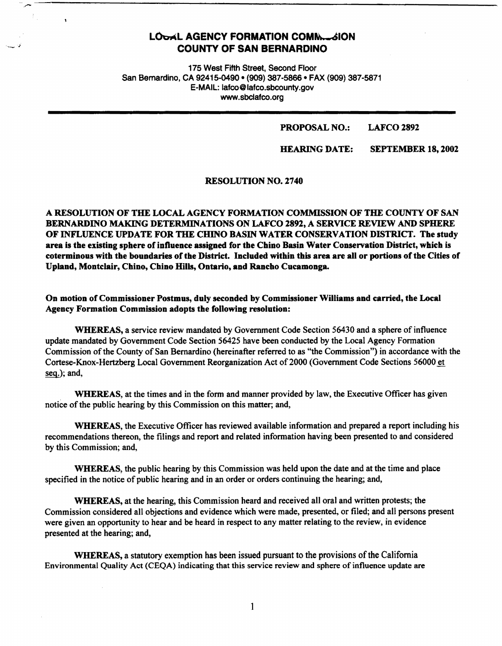# **LOOAL AGENCY FORMATION COMM... SION COUNTY OF SAN BERNARDINO**

 $\ddot{\phantom{1}}$ 

. ..- ---------------------------------------------

175 West Fifth Street, Second Floor San Bernardino, CA 92415-0490 • (909} 387-5866 • FAX (909) 387-5871 E-MAIL: lafco@lafco.sbcounty.gov www.sbclafco.org

#### PROPOSAL NO.: LAFCO 2892

HEARING DATE: SEPTEMBER 18, 2002

RESOLUTION NO. 2740

**A RESOLUTION OF THE LOCAL AGENCY FORMATION COMMISSION OF THE COUNTY OF SAN BERNARDINO MAKING DETERMINATIONS ON LAFCO 2892, A SERVICE REVIEW AND SPHERE OF INFLUENCE UPDATE FOR THE CHINO BASIN WATER CONSERVATION DISTRICT. The study**  area is the existing sphere of influence assigned for the Chino Basin Water Conservation District, which is **coterminous with the boundaries of the District. Included within this area are all or portions of the Cities of Upland, Montclair, Chino, Chino Hills, Ontario, and Rancho Cucamonga.** 

**On motion of Commissioner Postmus, duly seconded by Commissioner Williams and carried, the Local Agency Formation Commission adopts the following resolution:** 

**WHEREAS,** a service review mandated by Government Code Section 56430 and a sphere of influence update mandated by Government Code Section 56425 have been conducted by the Local Agency Formation Commission of the County of San Bernardino (hereinafter referred to as "the Commission") in accordance with the Cortese-Knox-Hertzberg Local Government Reorganization Act of2000 (Government Code Sections 56000 et seg.); and,

**WHEREAS,** at the times and in the form and manner provided by law, the Executive Officer has given notice of the public hearing by this Commission on this matter; and,

**WHEREAS,** the Executive Officer has reviewed available information and prepared a report including his recommendations thereon, the filings and report and related information having been presented to and considered by this Commission; and,

**WHEREAS,** the public hearing by this Commission was held upon the date and at the time and place specified in the notice of public hearing and in an order or orders continuing the hearing; and,

**WHEREAS,** at the hearing, this Commission heard and received all oral and written protests; the Commission considered all objections and evidence which were made, presented, or filed; and all persons present were given an opportunity to hear and be heard in respect to any matter relating to the review, in evidence presented at the hearing; and,

**WHEREAS,** a statutory exemption has been issued pursuant to the provisions of the California Environmental Quality Act {CEQA) indicating that this service review and sphere of influence update are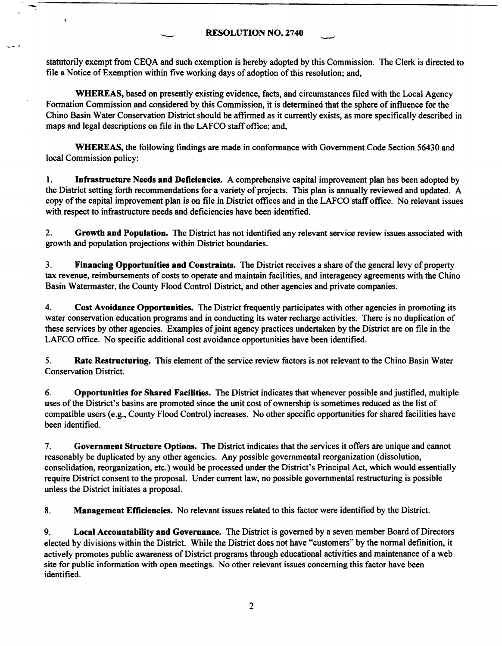..\_;------------------------------------------------

statutorily exempt from CEQA and such exemption is hereby adopted by this Commission. The Clerk is directed to file a Notice of Exemption within five working days of adoption of this resolution; and,

**WHEREAS,** based on presently existing evidence. facts, and circumstances filed with the Local Agency Fonnation Commission and considered by this Commission, it is detennined that the sphere of influence for the Chino Basin Water Conservation District should be affirmed as it currently exists, as more specifically described in maps and legal descriptions on file in the LAFCO staff office; and,

**WHEREAS,** the following findings are made in conformance with Government Code Section 56430 and local Commission policy:

1. **Infrastructure Needs and Deficiencies.** A comprehensive capital improvement plan has been adopted by the District setting forth recommendations for a variety of projects. This plan is annually reviewed and updated. A copy of the capital improvement plan is on file in District offices and in the LAFCO staff office. No relevant issues with respect to infrastructure needs and deficiencies have been identified.

2. **Growth and Population.** The District has not identified any relevant service review issues associated with growth and population projections within District boundaries.

3. **Financing Opportunities and Constraints.** The District receives a share of the general levy of property tax revenue, reimbursements of costs to operate and maintain facilities, and interagency agreements with the Chino Basin Watermaster, the County Flood Control District. and other agencies and private companies.

4. **Cost Avoidance Opportunities.** The District frequently participates with other agencies in promoting its water conservation education programs and in conducting its water recharge activities. There is no duplication of these services by other agencies. Examples of joint agency practices undertaken by the District are on file in the LAFCO office. No specific additional cost avoidance opportunities have been identified.

*5.* **Rate Restructuring.** This element of the service review factors is not relevant to the Chino Basin Water Conservation District.

6. **Opportunities for Shared Facilities.** The District indicates that whenever possible and justified, multiple uses of the District's basins are promoted since the unit cost of ownership is sometimes reduced as the list of compatible users (e.g., County Flood Control) increases. No other specific opportunities for shared facilities have been identified.

7. **Government Structure Options.** The District indicates that the services it offers are unique and cannot reasonably be duplicated by any other agencies. Any possible governmental reorganization (dissolution, consolidation, reorganization, etc.) would be processed under the District's Principal Act, which would essentially require District consent to the proposal. Under current law, no possible governmental restructuring is possible unless the District initiates a proposal.

8. **Management Efficiencies.** No relevant issues related to this factor were identified by the District.

9. **Local Accountability and Governance.** The District is governed by a seven member Board of Directors elected by divisions within the District. While the District does not have "customers" by the normal definition, it actively promotes public awareness of District programs through educational activities and maintenance of a web site for public information with open meetings. No other relevant issues concerning this factor have been identified.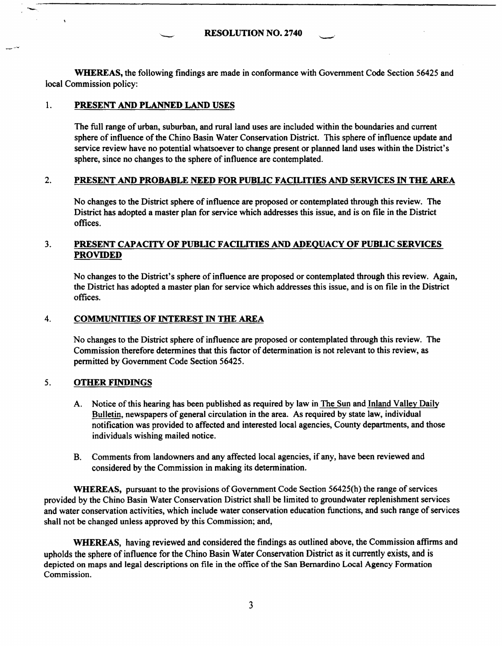**RESOLUTION NO.** 2740

**WHEREAS,** the following findings are made in conformance with Government Code Section 56425 and local Commission policy:

## 1. **PRESENT AND PLANNED LAND USES**

The full range of urban, suburban, and rural land uses are included within the boundaries and current sphere of influence of the Chino Basin Water Conservation District. This sphere of influence update and service review have no potential whatsoever to change present or planned land uses within the District's sphere, since no changes to the sphere of influence are contemplated.

#### 2. **PRESENT AND PROBABLE NEED FOR PUBLIC FACILITIES AND SERVICES** IN **THE AREA**

No changes to the District sphere of influence are proposed or contemplated through this review. The District has adopted a master plan for service which addresses this issue, and is on file in the District offices.

## 3. **PRESENT CAPACITY OF PUBLIC FACILITIES AND ADEQUACY OF PUBLIC SERVICES PROVIDED**

No changes to the District's sphere of influence are proposed or contemplated through this review. Again, the District has adopted a master plan for service which addresses this issue, and is on file in the District offices.

### 4. **COMMUNITIES OF INTEREST** IN **THE AREA**

No changes to the District sphere of influence are proposed or contemplated through this review. The Commission therefore determines that this factor of determination is not relevant to this review, as permitted by Government Code Section 56425.

#### 5. **OTHER FINDINGS**

- A. Notice of this hearing has been published as required by law in The Sun and Inland Valley **Daily**  Bulletin, newspapers of general circulation in the area. As required by state law, individual notification was provided to affected and interested local agencies, County departments, and those individuals wishing mailed notice.
- B. Comments from landowners and any affected local agencies, if any, have been reviewed and considered by the Commission in making its determination.

**WHEREAS,** pursuant to the provisions of Government Code Section 56425(h) the range of services provided by the Chino Basin Water Conservation District shall be limited to groundwater replenishment services and water conservation activities, which include water conservation education functions, and such range of services shall not be changed unless approved by this Commission; and,

**WHEREAS,** having reviewed and considered the findings as outlined above, the Commission affirms and upholds the sphere of influence for the Chino Basin Water Conservation District as it currently exists, and is depicted on maps and legal descriptions on file in the office of the San Bernardino Local **Agency** Formation Commission.